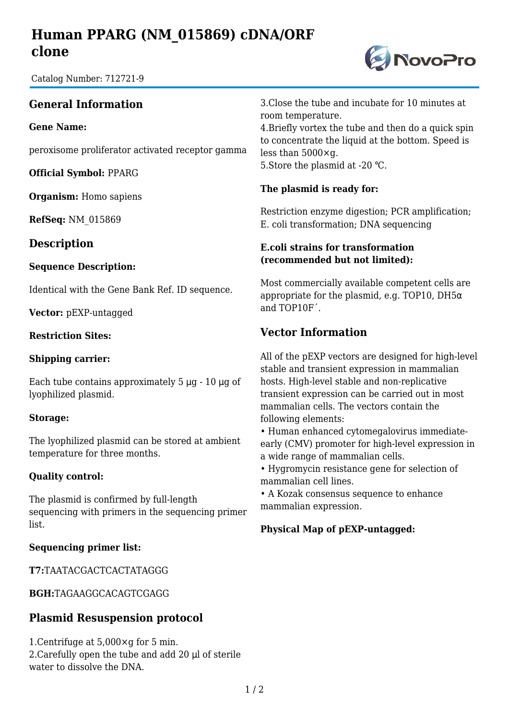# **Human PPARG (NM\_015869) cDNA/ORF clone**

Catalog Number: 712721-9

## **General Information**

**Gene Name:**

peroxisome proliferator activated receptor gamma

**Official Symbol:** PPARG

**Organism:** Homo sapiens

**RefSeq:** NM\_015869

### **Description**

#### **Sequence Description:**

Identical with the Gene Bank Ref. ID sequence.

**Vector:** pEXP-untagged

#### **Restriction Sites:**

#### **Shipping carrier:**

Each tube contains approximately  $5 \mu g - 10 \mu g$  of lyophilized plasmid.

#### **Storage:**

The lyophilized plasmid can be stored at ambient temperature for three months.

#### **Quality control:**

The plasmid is confirmed by full-length sequencing with primers in the sequencing primer list.

#### **Sequencing primer list:**

**T7:**TAATACGACTCACTATAGGG

**BGH:**TAGAAGGCACAGTCGAGG

### **Plasmid Resuspension protocol**

1.Centrifuge at 5,000×g for 5 min. 2.Carefully open the tube and add 20 μl of sterile water to dissolve the DNA.

3.Close the tube and incubate for 10 minutes at room temperature.

4.Briefly vortex the tube and then do a quick spin to concentrate the liquid at the bottom. Speed is less than 5000×g. 5. Store the plasmid at -20 °C.

#### **The plasmid is ready for:**

Restriction enzyme digestion; PCR amplification; E. coli transformation; DNA sequencing

#### **E.coli strains for transformation (recommended but not limited):**

Most commercially available competent cells are appropriate for the plasmid, e.g. TOP10, DH5 $\alpha$ and TOP10F´.

## **Vector Information**

All of the pEXP vectors are designed for high-level stable and transient expression in mammalian hosts. High-level stable and non-replicative transient expression can be carried out in most mammalian cells. The vectors contain the following elements:

• Human enhanced cytomegalovirus immediateearly (CMV) promoter for high-level expression in a wide range of mammalian cells.

• Hygromycin resistance gene for selection of mammalian cell lines.

• A Kozak consensus sequence to enhance mammalian expression.

#### **Physical Map of pEXP-untagged:**